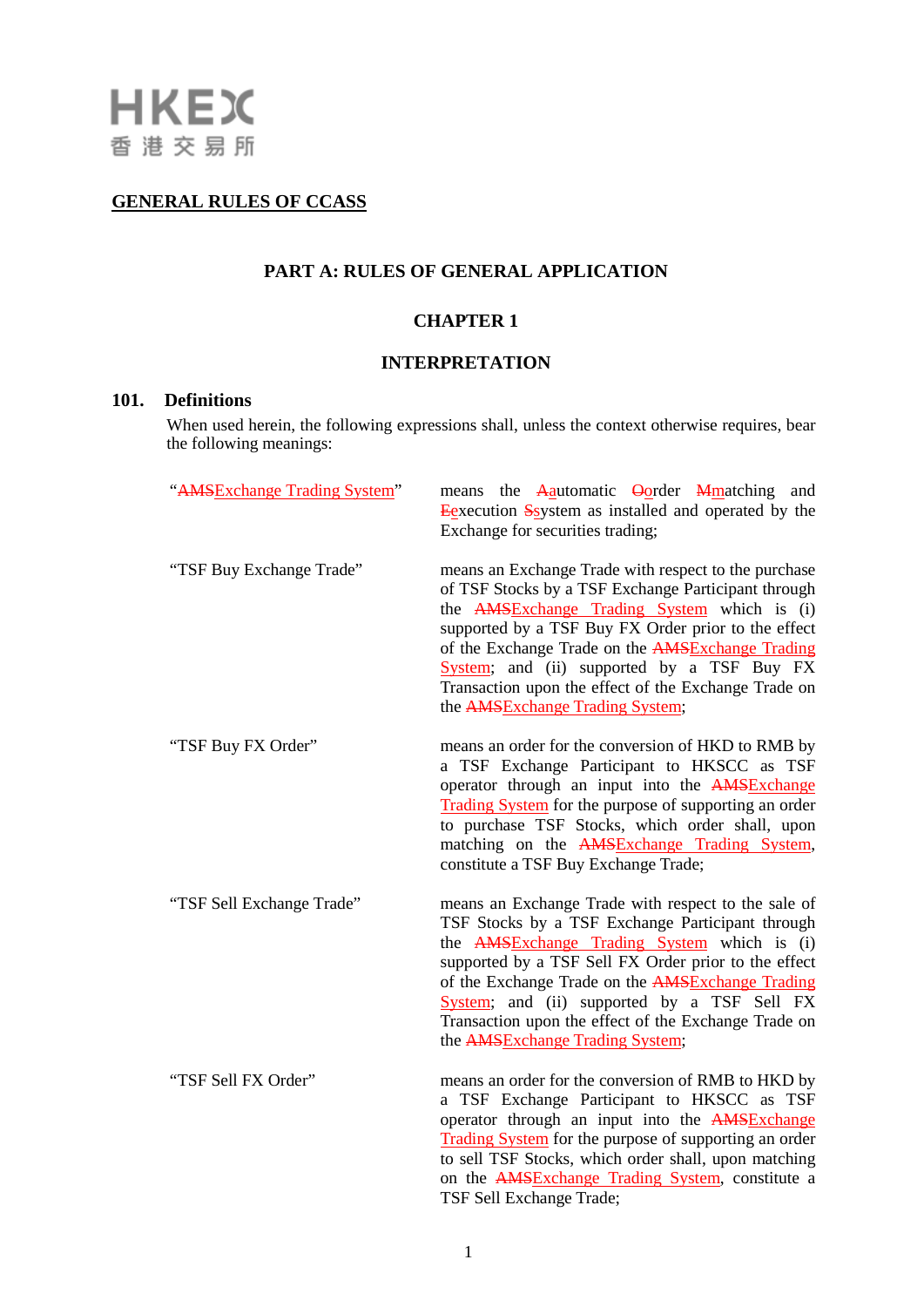# **GENERAL RULES OF CCASS**

# **PART A: RULES OF GENERAL APPLICATION**

# **CHAPTER 1**

## **INTERPRETATION**

# **101. Definitions**

When used herein, the following expressions shall, unless the context otherwise requires, bear the following meanings:

| "AMSExchange Trading System" | means the Aautomatic Oorder Mmatching and<br>Eexecution System as installed and operated by the<br>Exchange for securities trading;                                                                                                                                                                                                                                                                                    |
|------------------------------|------------------------------------------------------------------------------------------------------------------------------------------------------------------------------------------------------------------------------------------------------------------------------------------------------------------------------------------------------------------------------------------------------------------------|
| "TSF Buy Exchange Trade"     | means an Exchange Trade with respect to the purchase<br>of TSF Stocks by a TSF Exchange Participant through<br>the <b>AMS</b> Exchange Trading System which is (i)<br>supported by a TSF Buy FX Order prior to the effect<br>of the Exchange Trade on the AMSExchange Trading<br>System; and (ii) supported by a TSF Buy FX<br>Transaction upon the effect of the Exchange Trade on<br>the AMSExchange Trading System; |
| "TSF Buy FX Order"           | means an order for the conversion of HKD to RMB by<br>a TSF Exchange Participant to HKSCC as TSF<br>operator through an input into the <b>AMSExchange</b><br>Trading System for the purpose of supporting an order<br>to purchase TSF Stocks, which order shall, upon<br>matching on the AMSExchange Trading System,<br>constitute a TSF Buy Exchange Trade;                                                           |
| "TSF Sell Exchange Trade"    | means an Exchange Trade with respect to the sale of<br>TSF Stocks by a TSF Exchange Participant through<br>the <b>AMS</b> Exchange Trading System which is (i)<br>supported by a TSF Sell FX Order prior to the effect<br>of the Exchange Trade on the AMSExchange Trading<br>System; and (ii) supported by a TSF Sell FX<br>Transaction upon the effect of the Exchange Trade on<br>the AMSExchange Trading System;   |
| "TSF Sell FX Order"          | means an order for the conversion of RMB to HKD by<br>a TSF Exchange Participant to HKSCC as TSF<br>operator through an input into the <b>AMSExchange</b><br>Trading System for the purpose of supporting an order<br>to sell TSF Stocks, which order shall, upon matching<br>on the AMSExchange Trading System, constitute a<br>TSF Sell Exchange Trade;                                                              |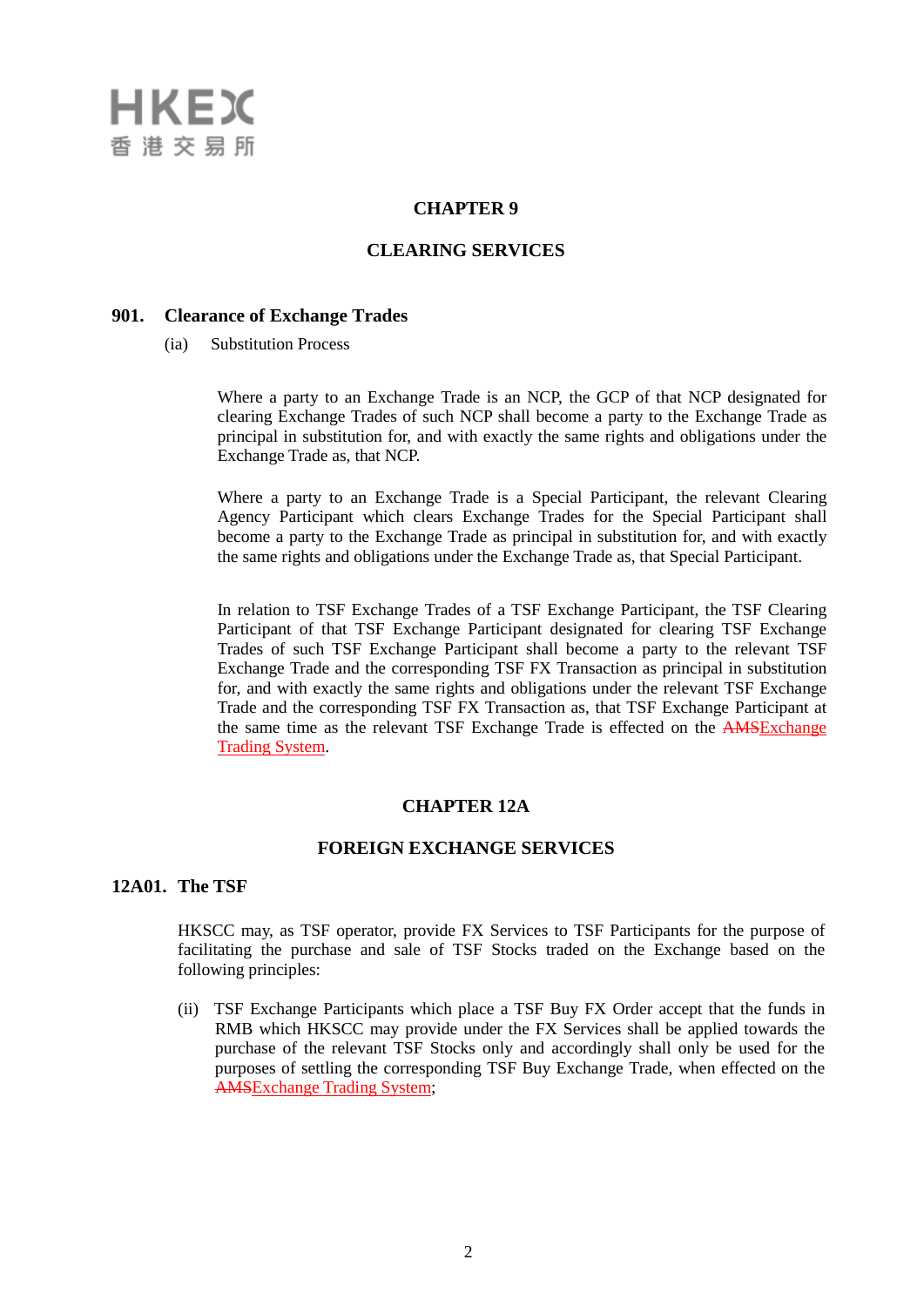

#### **CHAPTER 9**

## **CLEARING SERVICES**

#### **901. Clearance of Exchange Trades**

(ia) Substitution Process

Where a party to an Exchange Trade is an NCP, the GCP of that NCP designated for clearing Exchange Trades of such NCP shall become a party to the Exchange Trade as principal in substitution for, and with exactly the same rights and obligations under the Exchange Trade as, that NCP.

Where a party to an Exchange Trade is a Special Participant, the relevant Clearing Agency Participant which clears Exchange Trades for the Special Participant shall become a party to the Exchange Trade as principal in substitution for, and with exactly the same rights and obligations under the Exchange Trade as, that Special Participant.

In relation to TSF Exchange Trades of a TSF Exchange Participant, the TSF Clearing Participant of that TSF Exchange Participant designated for clearing TSF Exchange Trades of such TSF Exchange Participant shall become a party to the relevant TSF Exchange Trade and the corresponding TSF FX Transaction as principal in substitution for, and with exactly the same rights and obligations under the relevant TSF Exchange Trade and the corresponding TSF FX Transaction as, that TSF Exchange Participant at the same time as the relevant TSF Exchange Trade is effected on the AMSExchange Trading System.

#### **CHAPTER 12A**

### **FOREIGN EXCHANGE SERVICES**

#### **12A01. The TSF**

HKSCC may, as TSF operator, provide FX Services to TSF Participants for the purpose of facilitating the purchase and sale of TSF Stocks traded on the Exchange based on the following principles:

(ii) TSF Exchange Participants which place a TSF Buy FX Order accept that the funds in RMB which HKSCC may provide under the FX Services shall be applied towards the purchase of the relevant TSF Stocks only and accordingly shall only be used for the purposes of settling the corresponding TSF Buy Exchange Trade, when effected on the AMSExchange Trading System;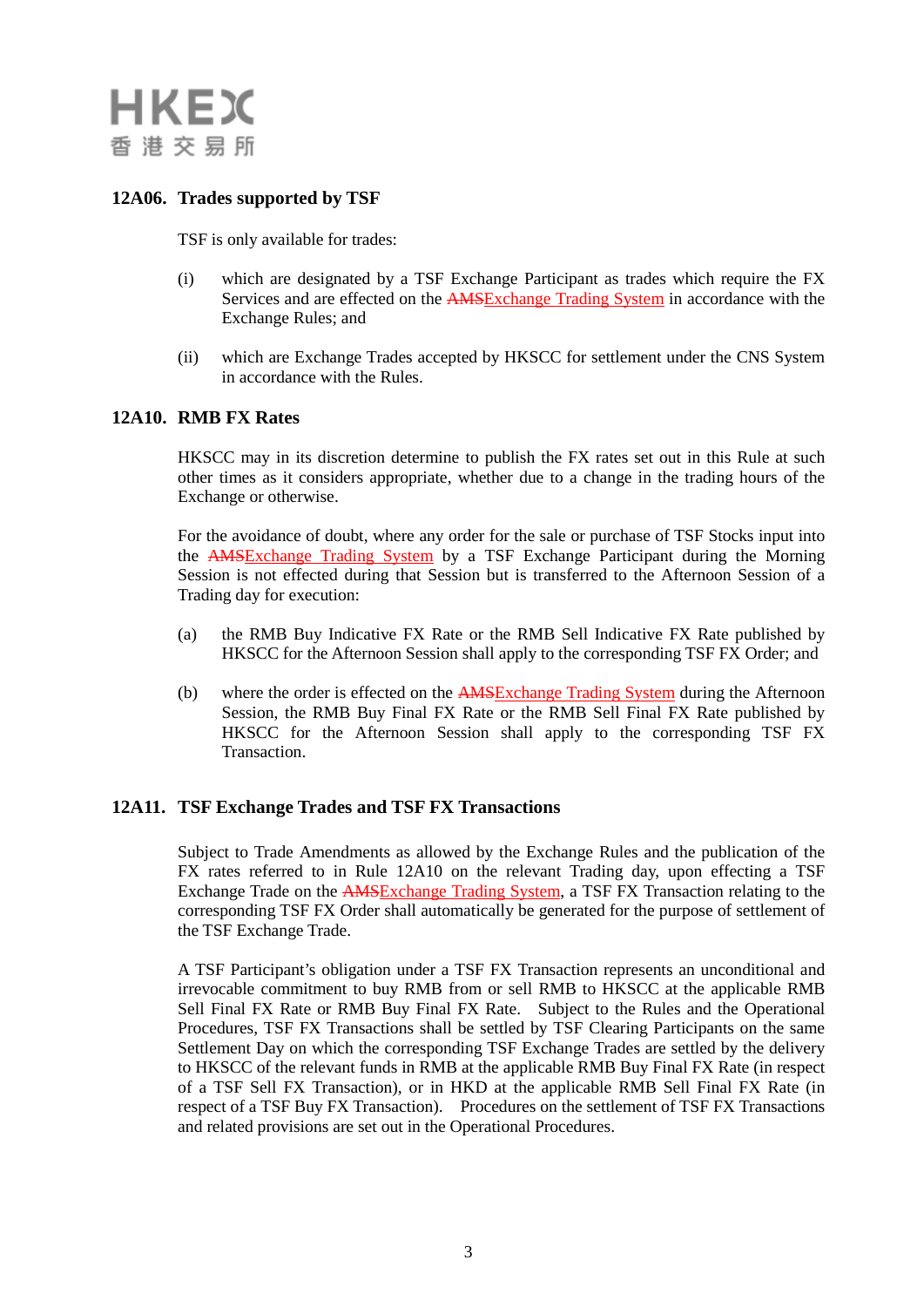

# **12A06. Trades supported by TSF**

TSF is only available for trades:

- (i) which are designated by a TSF Exchange Participant as trades which require the FX Services and are effected on the AMSExchange Trading System in accordance with the Exchange Rules; and
- (ii) which are Exchange Trades accepted by HKSCC for settlement under the CNS System in accordance with the Rules.

## **12A10. RMB FX Rates**

HKSCC may in its discretion determine to publish the FX rates set out in this Rule at such other times as it considers appropriate, whether due to a change in the trading hours of the Exchange or otherwise.

For the avoidance of doubt, where any order for the sale or purchase of TSF Stocks input into the AMSExchange Trading System by a TSF Exchange Participant during the Morning Session is not effected during that Session but is transferred to the Afternoon Session of a Trading day for execution:

- (a) the RMB Buy Indicative FX Rate or the RMB Sell Indicative FX Rate published by HKSCC for the Afternoon Session shall apply to the corresponding TSF FX Order; and
- (b) where the order is effected on the AMSExchange Trading System during the Afternoon Session, the RMB Buy Final FX Rate or the RMB Sell Final FX Rate published by HKSCC for the Afternoon Session shall apply to the corresponding TSF FX Transaction.

#### **12A11. TSF Exchange Trades and TSF FX Transactions**

Subject to Trade Amendments as allowed by the Exchange Rules and the publication of the FX rates referred to in Rule 12A10 on the relevant Trading day, upon effecting a TSF Exchange Trade on the AMSExchange Trading System, a TSF FX Transaction relating to the corresponding TSF FX Order shall automatically be generated for the purpose of settlement of the TSF Exchange Trade.

A TSF Participant's obligation under a TSF FX Transaction represents an unconditional and irrevocable commitment to buy RMB from or sell RMB to HKSCC at the applicable RMB Sell Final FX Rate or RMB Buy Final FX Rate. Subject to the Rules and the Operational Procedures, TSF FX Transactions shall be settled by TSF Clearing Participants on the same Settlement Day on which the corresponding TSF Exchange Trades are settled by the delivery to HKSCC of the relevant funds in RMB at the applicable RMB Buy Final FX Rate (in respect of a TSF Sell FX Transaction), or in HKD at the applicable RMB Sell Final FX Rate (in respect of a TSF Buy FX Transaction). Procedures on the settlement of TSF FX Transactions and related provisions are set out in the Operational Procedures.